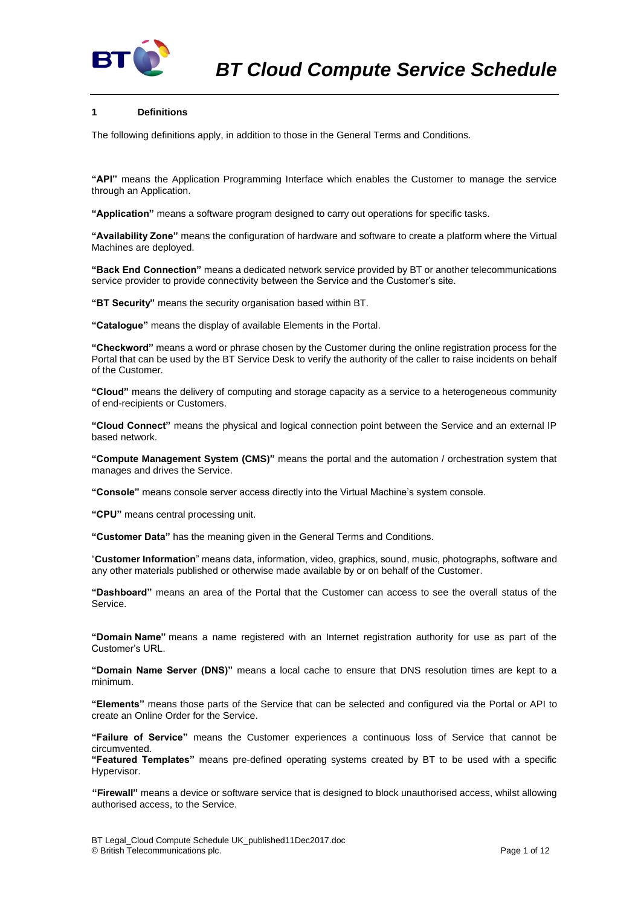

# **1 Definitions**

The following definitions apply, in addition to those in the General Terms and Conditions.

**"API"** means the Application Programming Interface which enables the Customer to manage the service through an Application.

**"Application"** means a software program designed to carry out operations for specific tasks.

**"Availability Zone"** means the configuration of hardware and software to create a platform where the Virtual Machines are deployed.

**"Back End Connection"** means a dedicated network service provided by BT or another telecommunications service provider to provide connectivity between the Service and the Customer's site.

**"BT Security"** means the security organisation based within BT.

**"Catalogue"** means the display of available Elements in the Portal.

**"Checkword"** means a word or phrase chosen by the Customer during the online registration process for the Portal that can be used by the BT Service Desk to verify the authority of the caller to raise incidents on behalf of the Customer.

**"Cloud"** means the delivery of computing and storage capacity as a service to a heterogeneous community of end-recipients or Customers.

**"Cloud Connect"** means the physical and logical connection point between the Service and an external IP based network.

**"Compute Management System (CMS)"** means the portal and the automation / orchestration system that manages and drives the Service.

**"Console"** means console server access directly into the Virtual Machine's system console.

**"CPU"** means central processing unit.

**"Customer Data"** has the meaning given in the General Terms and Conditions.

"**Customer Information**" means data, information, video, graphics, sound, music, photographs, software and any other materials published or otherwise made available by or on behalf of the Customer.

**"Dashboard"** means an area of the Portal that the Customer can access to see the overall status of the Service.

**"Domain Name"** means a name registered with an Internet registration authority for use as part of the Customer's URL.

**"Domain Name Server (DNS)"** means a local cache to ensure that DNS resolution times are kept to a minimum.

**"Elements"** means those parts of the Service that can be selected and configured via the Portal or API to create an Online Order for the Service.

**"Failure of Service"** means the Customer experiences a continuous loss of Service that cannot be circumvented.

**"Featured Templates"** means pre-defined operating systems created by BT to be used with a specific Hypervisor.

**"Firewall"** means a device or software service that is designed to block unauthorised access, whilst allowing authorised access, to the Service.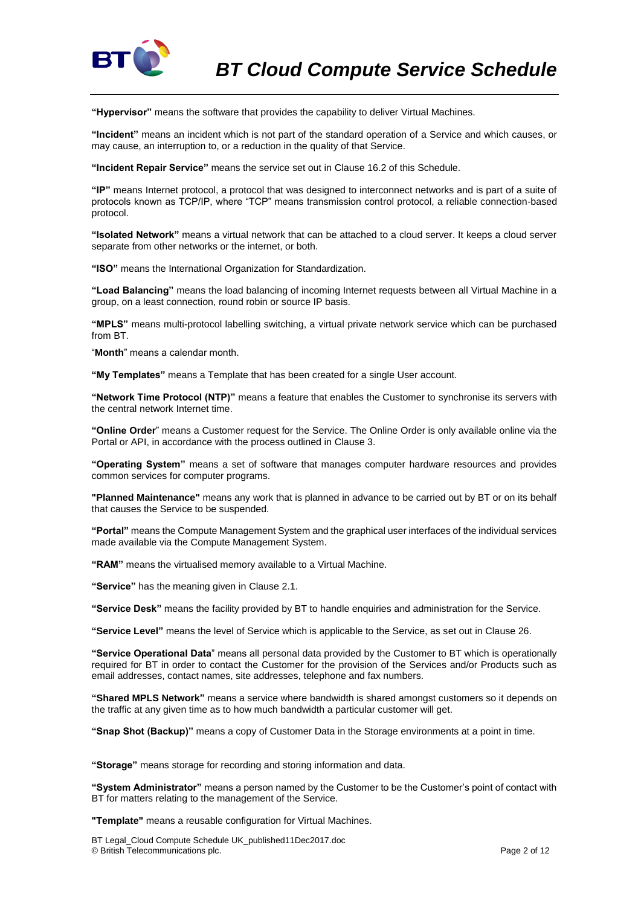

**"Hypervisor"** means the software that provides the capability to deliver Virtual Machines.

**"Incident"** means an incident which is not part of the standard operation of a Service and which causes, or may cause, an interruption to, or a reduction in the quality of that Service.

**"Incident Repair Service"** means the service set out in Clause [16.2](#page-6-0) of this Schedule.

**"IP"** means Internet protocol, a protocol that was designed to interconnect networks and is part of a suite of protocols known as TCP/IP, where "TCP" means transmission control protocol, a reliable connection-based protocol.

**"Isolated Network"** means a virtual network that can be attached to a cloud server. It keeps a cloud server separate from other networks or the internet, or both.

**"ISO"** means the International Organization for Standardization.

**"Load Balancing"** means the load balancing of incoming Internet requests between all Virtual Machine in a group, on a least connection, round robin or source IP basis.

**"MPLS"** means multi-protocol labelling switching, a virtual private network service which can be purchased from BT.

"**Month**" means a calendar month.

**"My Templates"** means a Template that has been created for a single User account.

**"Network Time Protocol (NTP)"** means a feature that enables the Customer to synchronise its servers with the central network Internet time.

**"Online Order**" means a Customer request for the Service. The Online Order is only available online via the Portal or API, in accordance with the process outlined in Clause [3.](#page-2-0)

**"Operating System"** means a set of software that manages computer hardware resources and provides common services for computer programs.

**"Planned Maintenance"** means any work that is planned in advance to be carried out by BT or on its behalf that causes the Service to be suspended.

**"Portal"** means the Compute Management System and the graphical user interfaces of the individual services made available via the Compute Management System.

**"RAM"** means the virtualised memory available to a Virtual Machine.

**"Service"** has the meaning given in Claus[e 2.1.](#page-2-1)

**"Service Desk"** means the facility provided by BT to handle enquiries and administration for the Service.

**"Service Level"** means the level of Service which is applicable to the Service, as set out in Clause [26.](#page-10-0)

**"Service Operational Data**" means all personal data provided by the Customer to BT which is operationally required for BT in order to contact the Customer for the provision of the Services and/or Products such as email addresses, contact names, site addresses, telephone and fax numbers.

**"Shared MPLS Network"** means a service where bandwidth is shared amongst customers so it depends on the traffic at any given time as to how much bandwidth a particular customer will get.

**"Snap Shot (Backup)"** means a copy of Customer Data in the Storage environments at a point in time.

**"Storage"** means storage for recording and storing information and data.

**"System Administrator"** means a person named by the Customer to be the Customer's point of contact with BT for matters relating to the management of the Service.

**"Template"** means a reusable configuration for Virtual Machines.

BT Legal\_Cloud Compute Schedule UK\_published11Dec2017.doc © British Telecommunications plc. Page 2 of 12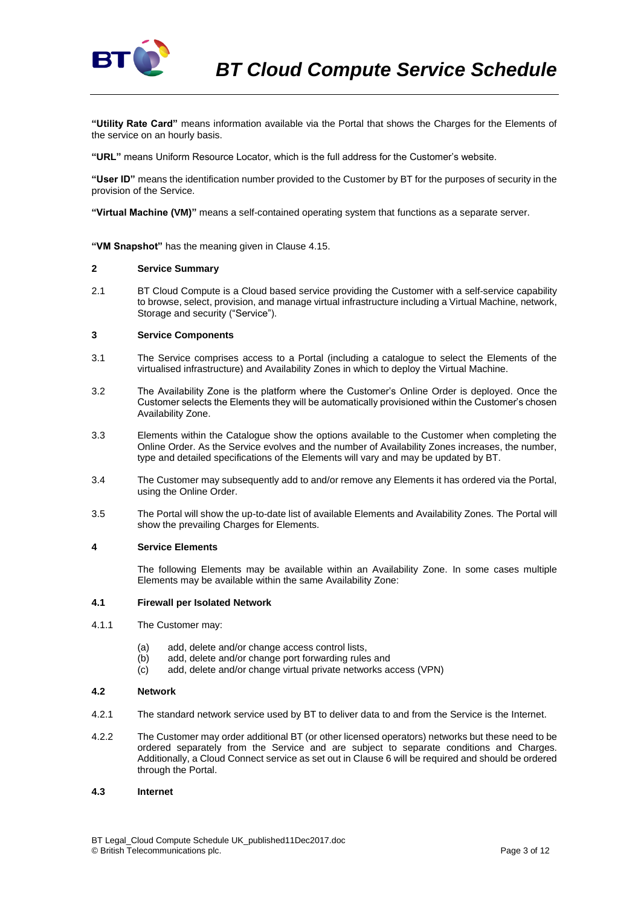

**"Utility Rate Card"** means information available via the Portal that shows the Charges for the Elements of the service on an hourly basis.

**"URL"** means Uniform Resource Locator, which is the full address for the Customer's website.

**"User ID"** means the identification number provided to the Customer by BT for the purposes of security in the provision of the Service.

**"Virtual Machine (VM)"** means a self-contained operating system that functions as a separate server.

**"VM Snapshot"** has the meaning given in Claus[e 4.15.](#page-5-0)

### **2 Service Summary**

<span id="page-2-1"></span>2.1 BT Cloud Compute is a Cloud based service providing the Customer with a self-service capability to browse, select, provision, and manage virtual infrastructure including a Virtual Machine, network, Storage and security ("Service").

### <span id="page-2-0"></span>**3 Service Components**

- 3.1 The Service comprises access to a Portal (including a catalogue to select the Elements of the virtualised infrastructure) and Availability Zones in which to deploy the Virtual Machine.
- 3.2 The Availability Zone is the platform where the Customer's Online Order is deployed. Once the Customer selects the Elements they will be automatically provisioned within the Customer's chosen Availability Zone.
- 3.3 Elements within the Catalogue show the options available to the Customer when completing the Online Order. As the Service evolves and the number of Availability Zones increases, the number, type and detailed specifications of the Elements will vary and may be updated by BT.
- 3.4 The Customer may subsequently add to and/or remove any Elements it has ordered via the Portal, using the Online Order.
- 3.5 The Portal will show the up-to-date list of available Elements and Availability Zones. The Portal will show the prevailing Charges for Elements.

#### **4 Service Elements**

The following Elements may be available within an Availability Zone. In some cases multiple Elements may be available within the same Availability Zone:

#### **4.1 Firewall per Isolated Network**

- 4.1.1 The Customer may:
	- (a) add, delete and/or change access control lists,
	- (b) add, delete and/or change port forwarding rules and
	- (c) add, delete and/or change virtual private networks access (VPN)

#### **4.2 Network**

- 4.2.1 The standard network service used by BT to deliver data to and from the Service is the Internet.
- 4.2.2 The Customer may order additional BT (or other licensed operators) networks but these need to be ordered separately from the Service and are subject to separate conditions and Charges. Additionally, a Cloud Connect service as set out in Claus[e 6](#page-5-1) will be required and should be ordered through the Portal.

#### **4.3 Internet**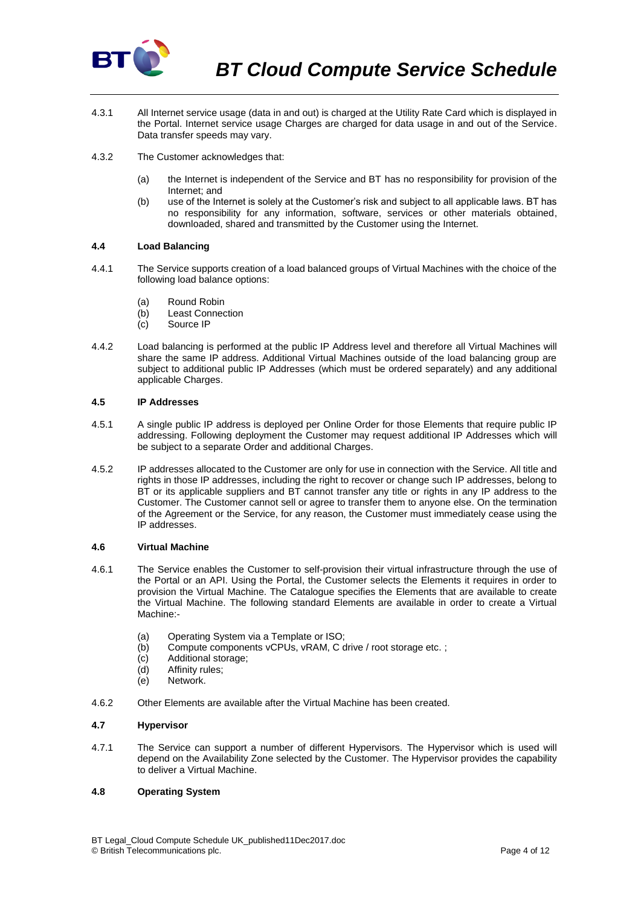

- 4.3.1 All Internet service usage (data in and out) is charged at the Utility Rate Card which is displayed in the Portal. Internet service usage Charges are charged for data usage in and out of the Service. Data transfer speeds may vary.
- 4.3.2 The Customer acknowledges that:
	- (a) the Internet is independent of the Service and BT has no responsibility for provision of the Internet; and
	- (b) use of the Internet is solely at the Customer's risk and subject to all applicable laws. BT has no responsibility for any information, software, services or other materials obtained, downloaded, shared and transmitted by the Customer using the Internet.

### **4.4 Load Balancing**

- 4.4.1 The Service supports creation of a load balanced groups of Virtual Machines with the choice of the following load balance options:
	- (a) Round Robin
	- (b) Least Connection
	- (c) Source IP
- 4.4.2 Load balancing is performed at the public IP Address level and therefore all Virtual Machines will share the same IP address. Additional Virtual Machines outside of the load balancing group are subject to additional public IP Addresses (which must be ordered separately) and any additional applicable Charges.

# **4.5 IP Addresses**

- 4.5.1 A single public IP address is deployed per Online Order for those Elements that require public IP addressing. Following deployment the Customer may request additional IP Addresses which will be subject to a separate Order and additional Charges.
- 4.5.2 IP addresses allocated to the Customer are only for use in connection with the Service. All title and rights in those IP addresses, including the right to recover or change such IP addresses, belong to BT or its applicable suppliers and BT cannot transfer any title or rights in any IP address to the Customer. The Customer cannot sell or agree to transfer them to anyone else. On the termination of the Agreement or the Service, for any reason, the Customer must immediately cease using the IP addresses.

### **4.6 Virtual Machine**

- 4.6.1 The Service enables the Customer to self-provision their virtual infrastructure through the use of the Portal or an API. Using the Portal, the Customer selects the Elements it requires in order to provision the Virtual Machine. The Catalogue specifies the Elements that are available to create the Virtual Machine. The following standard Elements are available in order to create a Virtual Machine:-
	- (a) Operating System via a Template or ISO;
	- (b) Compute components vCPUs, vRAM, C drive / root storage etc. ;
	- (c) Additional storage;
	- (d) Affinity rules;
	- (e) Network.
- 4.6.2 Other Elements are available after the Virtual Machine has been created.

# **4.7 Hypervisor**

4.7.1 The Service can support a number of different Hypervisors. The Hypervisor which is used will depend on the Availability Zone selected by the Customer. The Hypervisor provides the capability to deliver a Virtual Machine.

### **4.8 Operating System**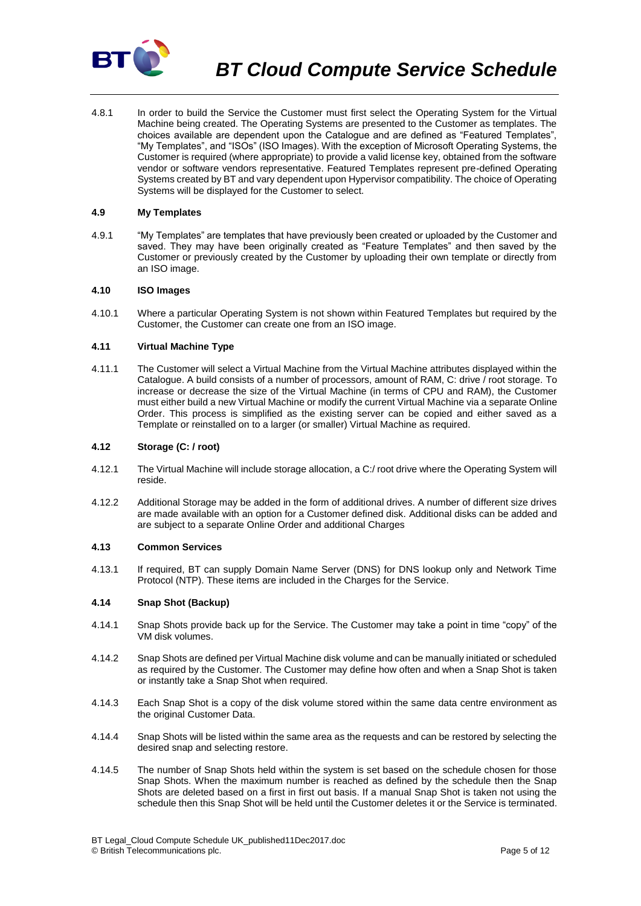

4.8.1 In order to build the Service the Customer must first select the Operating System for the Virtual Machine being created. The Operating Systems are presented to the Customer as templates. The choices available are dependent upon the Catalogue and are defined as "Featured Templates", "My Templates", and "ISOs" (ISO Images). With the exception of Microsoft Operating Systems, the Customer is required (where appropriate) to provide a valid license key, obtained from the software vendor or software vendors representative. Featured Templates represent pre-defined Operating Systems created by BT and vary dependent upon Hypervisor compatibility. The choice of Operating Systems will be displayed for the Customer to select.

# **4.9 My Templates**

4.9.1 "My Templates" are templates that have previously been created or uploaded by the Customer and saved. They may have been originally created as "Feature Templates" and then saved by the Customer or previously created by the Customer by uploading their own template or directly from an ISO image.

### **4.10 ISO Images**

4.10.1 Where a particular Operating System is not shown within Featured Templates but required by the Customer, the Customer can create one from an ISO image.

### **4.11 Virtual Machine Type**

4.11.1 The Customer will select a Virtual Machine from the Virtual Machine attributes displayed within the Catalogue. A build consists of a number of processors, amount of RAM, C: drive / root storage. To increase or decrease the size of the Virtual Machine (in terms of CPU and RAM), the Customer must either build a new Virtual Machine or modify the current Virtual Machine via a separate Online Order. This process is simplified as the existing server can be copied and either saved as a Template or reinstalled on to a larger (or smaller) Virtual Machine as required.

### **4.12 Storage (C: / root)**

- 4.12.1 The Virtual Machine will include storage allocation, a C:/ root drive where the Operating System will reside.
- 4.12.2 Additional Storage may be added in the form of additional drives. A number of different size drives are made available with an option for a Customer defined disk. Additional disks can be added and are subject to a separate Online Order and additional Charges

#### **4.13 Common Services**

4.13.1 If required, BT can supply Domain Name Server (DNS) for DNS lookup only and Network Time Protocol (NTP). These items are included in the Charges for the Service.

#### **4.14 Snap Shot (Backup)**

- 4.14.1 Snap Shots provide back up for the Service. The Customer may take a point in time "copy" of the VM disk volumes.
- 4.14.2 Snap Shots are defined per Virtual Machine disk volume and can be manually initiated or scheduled as required by the Customer. The Customer may define how often and when a Snap Shot is taken or instantly take a Snap Shot when required.
- 4.14.3 Each Snap Shot is a copy of the disk volume stored within the same data centre environment as the original Customer Data.
- 4.14.4 Snap Shots will be listed within the same area as the requests and can be restored by selecting the desired snap and selecting restore.
- 4.14.5 The number of Snap Shots held within the system is set based on the schedule chosen for those Snap Shots. When the maximum number is reached as defined by the schedule then the Snap Shots are deleted based on a first in first out basis. If a manual Snap Shot is taken not using the schedule then this Snap Shot will be held until the Customer deletes it or the Service is terminated.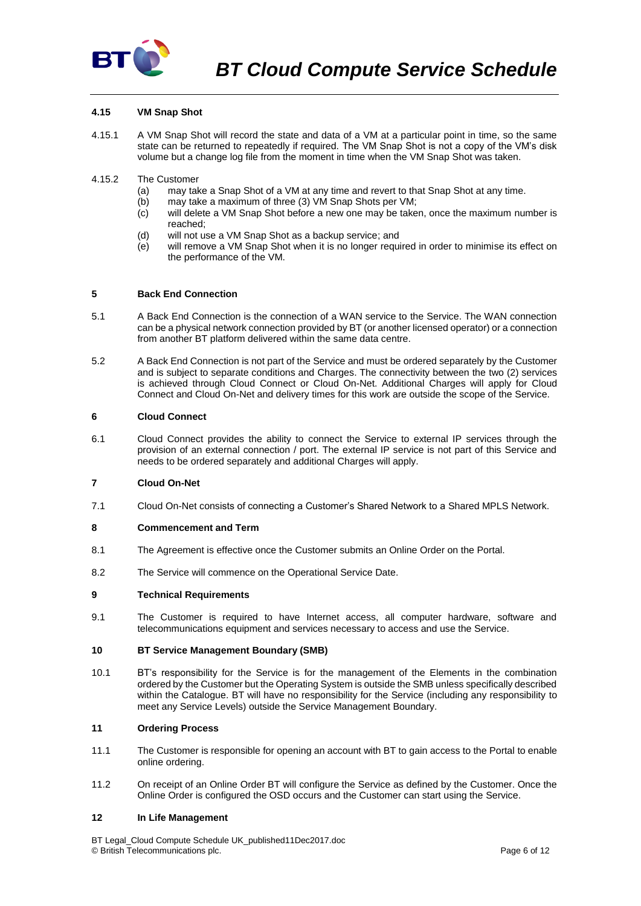

# <span id="page-5-0"></span>**4.15 VM Snap Shot**

- 4.15.1 A VM Snap Shot will record the state and data of a VM at a particular point in time, so the same state can be returned to repeatedly if required. The VM Snap Shot is not a copy of the VM's disk volume but a change log file from the moment in time when the VM Snap Shot was taken.
- 4.15.2 The Customer
	- (a) may take a Snap Shot of a VM at any time and revert to that Snap Shot at any time.
	- (b) may take a maximum of three (3) VM Snap Shots per VM;
	- (c) will delete a VM Snap Shot before a new one may be taken, once the maximum number is reached;
	- (d) will not use a VM Snap Shot as a backup service; and
	- (e) will remove a VM Snap Shot when it is no longer required in order to minimise its effect on the performance of the VM.

# **5 Back End Connection**

- 5.1 A Back End Connection is the connection of a WAN service to the Service. The WAN connection can be a physical network connection provided by BT (or another licensed operator) or a connection from another BT platform delivered within the same data centre.
- 5.2 A Back End Connection is not part of the Service and must be ordered separately by the Customer and is subject to separate conditions and Charges. The connectivity between the two (2) services is achieved through Cloud Connect or Cloud On-Net. Additional Charges will apply for Cloud Connect and Cloud On-Net and delivery times for this work are outside the scope of the Service.

#### <span id="page-5-1"></span>**6 Cloud Connect**

6.1 Cloud Connect provides the ability to connect the Service to external IP services through the provision of an external connection / port. The external IP service is not part of this Service and needs to be ordered separately and additional Charges will apply.

### **7 Cloud On-Net**

7.1 Cloud On-Net consists of connecting a Customer's Shared Network to a Shared MPLS Network.

### **8 Commencement and Term**

- 8.1 The Agreement is effective once the Customer submits an Online Order on the Portal.
- 8.2 The Service will commence on the Operational Service Date.

### **9 Technical Requirements**

9.1 The Customer is required to have Internet access, all computer hardware, software and telecommunications equipment and services necessary to access and use the Service.

### **10 BT Service Management Boundary (SMB)**

10.1 BT's responsibility for the Service is for the management of the Elements in the combination ordered by the Customer but the Operating System is outside the SMB unless specifically described within the Catalogue. BT will have no responsibility for the Service (including any responsibility to meet any Service Levels) outside the Service Management Boundary.

### **11 Ordering Process**

- 11.1 The Customer is responsible for opening an account with BT to gain access to the Portal to enable online ordering.
- 11.2 On receipt of an Online Order BT will configure the Service as defined by the Customer. Once the Online Order is configured the OSD occurs and the Customer can start using the Service.

### **12 In Life Management**

BT Legal\_Cloud Compute Schedule UK\_published11Dec2017.doc © British Telecommunications plc. Page 6 of 12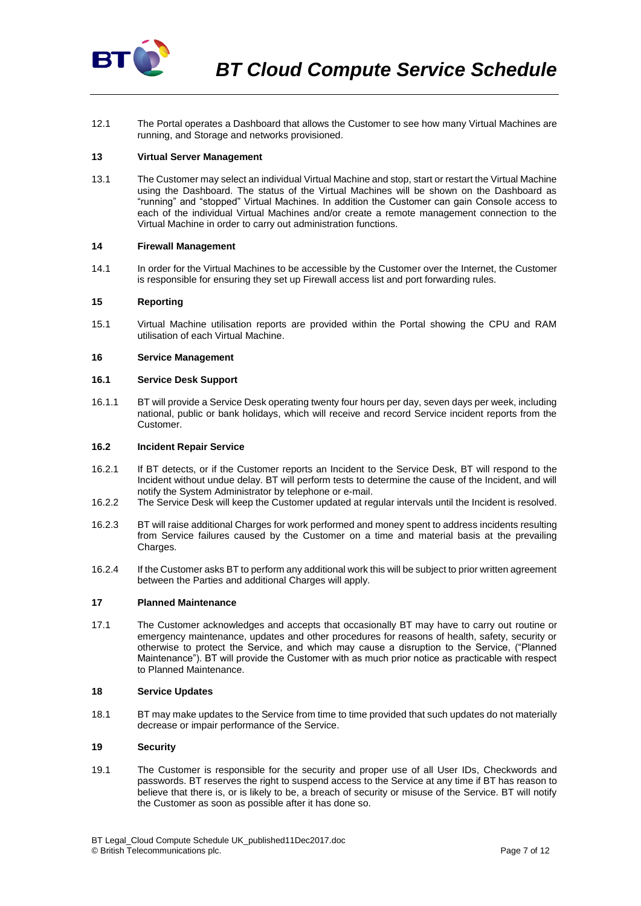

12.1 The Portal operates a Dashboard that allows the Customer to see how many Virtual Machines are running, and Storage and networks provisioned.

### **13 Virtual Server Management**

13.1 The Customer may select an individual Virtual Machine and stop, start or restart the Virtual Machine using the Dashboard. The status of the Virtual Machines will be shown on the Dashboard as "running" and "stopped" Virtual Machines. In addition the Customer can gain Console access to each of the individual Virtual Machines and/or create a remote management connection to the Virtual Machine in order to carry out administration functions.

#### **14 Firewall Management**

14.1 In order for the Virtual Machines to be accessible by the Customer over the Internet, the Customer is responsible for ensuring they set up Firewall access list and port forwarding rules.

### **15 Reporting**

15.1 Virtual Machine utilisation reports are provided within the Portal showing the CPU and RAM utilisation of each Virtual Machine.

#### **16 Service Management**

#### **16.1 Service Desk Support**

16.1.1 BT will provide a Service Desk operating twenty four hours per day, seven days per week, including national, public or bank holidays, which will receive and record Service incident reports from the Customer.

#### <span id="page-6-0"></span>**16.2 Incident Repair Service**

- 16.2.1 If BT detects, or if the Customer reports an Incident to the Service Desk, BT will respond to the Incident without undue delay. BT will perform tests to determine the cause of the Incident, and will notify the System Administrator by telephone or e-mail.
- 16.2.2 The Service Desk will keep the Customer updated at regular intervals until the Incident is resolved.
- 16.2.3 BT will raise additional Charges for work performed and money spent to address incidents resulting from Service failures caused by the Customer on a time and material basis at the prevailing Charges.
- 16.2.4 If the Customer asks BT to perform any additional work this will be subject to prior written agreement between the Parties and additional Charges will apply.

#### **17 Planned Maintenance**

17.1 The Customer acknowledges and accepts that occasionally BT may have to carry out routine or emergency maintenance, updates and other procedures for reasons of health, safety, security or otherwise to protect the Service, and which may cause a disruption to the Service, ("Planned Maintenance"). BT will provide the Customer with as much prior notice as practicable with respect to Planned Maintenance.

#### **18 Service Updates**

18.1 BT may make updates to the Service from time to time provided that such updates do not materially decrease or impair performance of the Service.

# **19 Security**

19.1 The Customer is responsible for the security and proper use of all User IDs, Checkwords and passwords. BT reserves the right to suspend access to the Service at any time if BT has reason to believe that there is, or is likely to be, a breach of security or misuse of the Service. BT will notify the Customer as soon as possible after it has done so.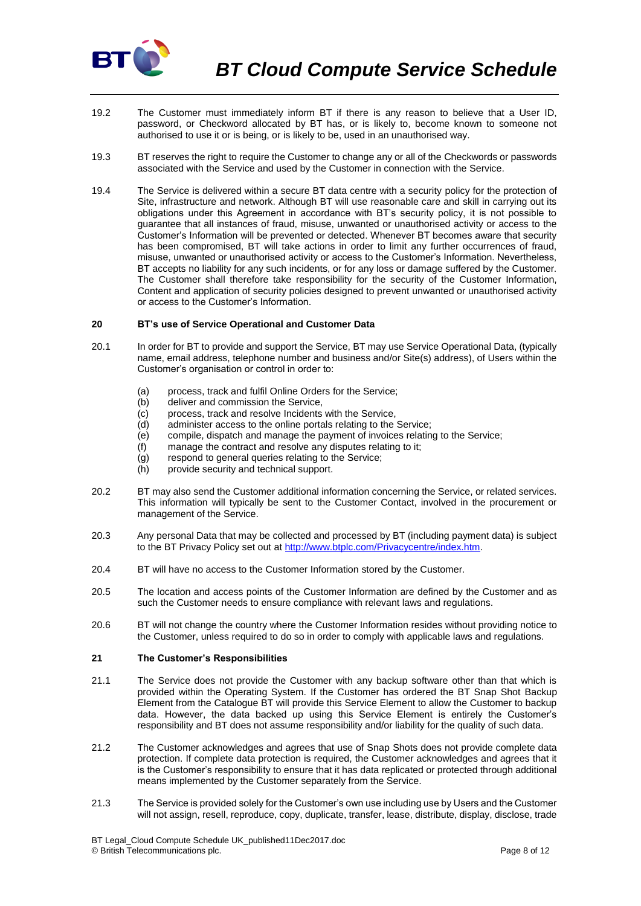

- 19.2 The Customer must immediately inform BT if there is any reason to believe that a User ID, password, or Checkword allocated by BT has, or is likely to, become known to someone not authorised to use it or is being, or is likely to be, used in an unauthorised way.
- 19.3 BT reserves the right to require the Customer to change any or all of the Checkwords or passwords associated with the Service and used by the Customer in connection with the Service.
- 19.4 The Service is delivered within a secure BT data centre with a security policy for the protection of Site, infrastructure and network. Although BT will use reasonable care and skill in carrying out its obligations under this Agreement in accordance with BT's security policy, it is not possible to guarantee that all instances of fraud, misuse, unwanted or unauthorised activity or access to the Customer's Information will be prevented or detected. Whenever BT becomes aware that security has been compromised, BT will take actions in order to limit any further occurrences of fraud, misuse, unwanted or unauthorised activity or access to the Customer's Information. Nevertheless, BT accepts no liability for any such incidents, or for any loss or damage suffered by the Customer. The Customer shall therefore take responsibility for the security of the Customer Information, Content and application of security policies designed to prevent unwanted or unauthorised activity or access to the Customer's Information.

# **20 BT's use of Service Operational and Customer Data**

- 20.1 In order for BT to provide and support the Service, BT may use Service Operational Data, (typically name, email address, telephone number and business and/or Site(s) address), of Users within the Customer's organisation or control in order to:
	- (a) process, track and fulfil Online Orders for the Service;
	- (b) deliver and commission the Service,
	- (c) process, track and resolve Incidents with the Service,
	- (d) administer access to the online portals relating to the Service;
	- (e) compile, dispatch and manage the payment of invoices relating to the Service;
	- (f) manage the contract and resolve any disputes relating to it;
	- (g) respond to general queries relating to the Service;
	- (h) provide security and technical support.
- 20.2 BT may also send the Customer additional information concerning the Service, or related services. This information will typically be sent to the Customer Contact, involved in the procurement or management of the Service.
- 20.3 Any personal Data that may be collected and processed by BT (including payment data) is subject to the BT Privacy Policy set out at [http://www.btplc.com/Privacycentre/index.htm.](http://www.btplc.com/Privacycentre/index.htm)
- 20.4 BT will have no access to the Customer Information stored by the Customer.
- 20.5 The location and access points of the Customer Information are defined by the Customer and as such the Customer needs to ensure compliance with relevant laws and regulations.
- 20.6 BT will not change the country where the Customer Information resides without providing notice to the Customer, unless required to do so in order to comply with applicable laws and regulations.

#### <span id="page-7-0"></span>**21 The Customer's Responsibilities**

- 21.1 The Service does not provide the Customer with any backup software other than that which is provided within the Operating System. If the Customer has ordered the BT Snap Shot Backup Element from the Catalogue BT will provide this Service Element to allow the Customer to backup data. However, the data backed up using this Service Element is entirely the Customer's responsibility and BT does not assume responsibility and/or liability for the quality of such data.
- 21.2 The Customer acknowledges and agrees that use of Snap Shots does not provide complete data protection. If complete data protection is required, the Customer acknowledges and agrees that it is the Customer's responsibility to ensure that it has data replicated or protected through additional means implemented by the Customer separately from the Service.
- 21.3 The Service is provided solely for the Customer's own use including use by Users and the Customer will not assign, resell, reproduce, copy, duplicate, transfer, lease, distribute, display, disclose, trade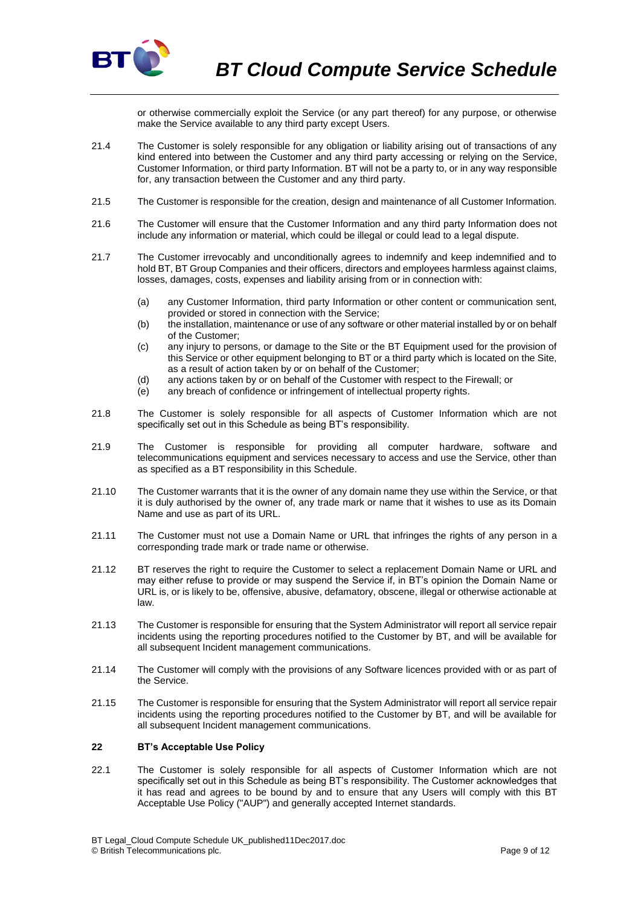

or otherwise commercially exploit the Service (or any part thereof) for any purpose, or otherwise make the Service available to any third party except Users.

- 21.4 The Customer is solely responsible for any obligation or liability arising out of transactions of any kind entered into between the Customer and any third party accessing or relying on the Service, Customer Information, or third party Information. BT will not be a party to, or in any way responsible for, any transaction between the Customer and any third party.
- 21.5 The Customer is responsible for the creation, design and maintenance of all Customer Information.
- 21.6 The Customer will ensure that the Customer Information and any third party Information does not include any information or material, which could be illegal or could lead to a legal dispute.
- 21.7 The Customer irrevocably and unconditionally agrees to indemnify and keep indemnified and to hold BT, BT Group Companies and their officers, directors and employees harmless against claims, losses, damages, costs, expenses and liability arising from or in connection with:
	- (a) any Customer Information, third party Information or other content or communication sent, provided or stored in connection with the Service;
	- (b) the installation, maintenance or use of any software or other material installed by or on behalf of the Customer;
	- (c) any injury to persons, or damage to the Site or the BT Equipment used for the provision of this Service or other equipment belonging to BT or a third party which is located on the Site, as a result of action taken by or on behalf of the Customer;
	- (d) any actions taken by or on behalf of the Customer with respect to the Firewall; or
	- (e) any breach of confidence or infringement of intellectual property rights.
- 21.8 The Customer is solely responsible for all aspects of Customer Information which are not specifically set out in this Schedule as being BT's responsibility.
- 21.9 The Customer is responsible for providing all computer hardware, software and telecommunications equipment and services necessary to access and use the Service, other than as specified as a BT responsibility in this Schedule.
- 21.10 The Customer warrants that it is the owner of any domain name they use within the Service, or that it is duly authorised by the owner of, any trade mark or name that it wishes to use as its Domain Name and use as part of its URL.
- 21.11 The Customer must not use a Domain Name or URL that infringes the rights of any person in a corresponding trade mark or trade name or otherwise.
- 21.12 BT reserves the right to require the Customer to select a replacement Domain Name or URL and may either refuse to provide or may suspend the Service if, in BT's opinion the Domain Name or URL is, or is likely to be, offensive, abusive, defamatory, obscene, illegal or otherwise actionable at law.
- 21.13 The Customer is responsible for ensuring that the System Administrator will report all service repair incidents using the reporting procedures notified to the Customer by BT, and will be available for all subsequent Incident management communications.
- 21.14 The Customer will comply with the provisions of any Software licences provided with or as part of the Service.
- 21.15 The Customer is responsible for ensuring that the System Administrator will report all service repair incidents using the reporting procedures notified to the Customer by BT, and will be available for all subsequent Incident management communications.

# **22 BT's Acceptable Use Policy**

22.1 The Customer is solely responsible for all aspects of Customer Information which are not specifically set out in this Schedule as being BT's responsibility. The Customer acknowledges that it has read and agrees to be bound by and to ensure that any Users will comply with this BT Acceptable Use Policy ("AUP") and generally accepted Internet standards.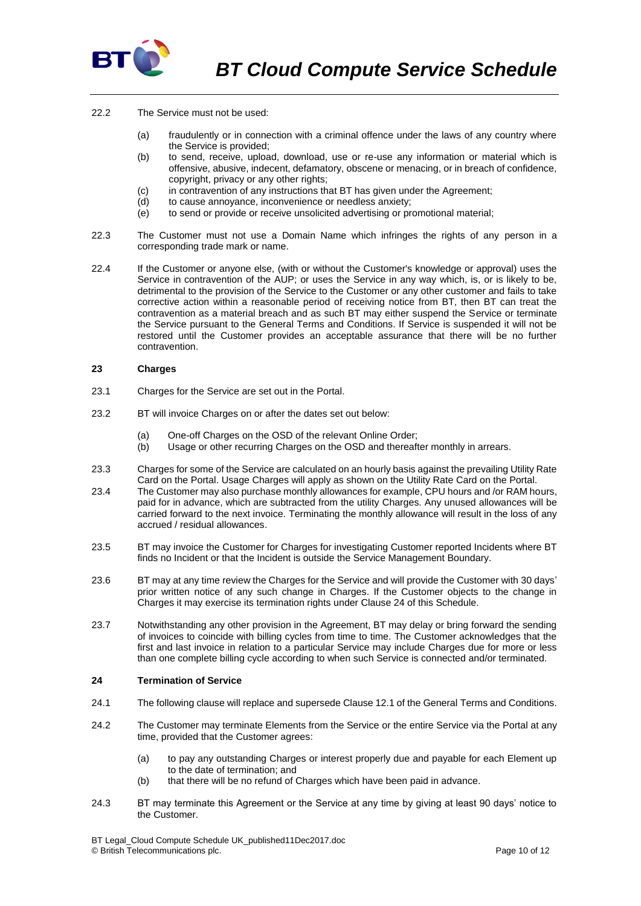

- 22.2 The Service must not be used:
	- (a) fraudulently or in connection with a criminal offence under the laws of any country where the Service is provided;
	- (b) to send, receive, upload, download, use or re-use any information or material which is offensive, abusive, indecent, defamatory, obscene or menacing, or in breach of confidence, copyright, privacy or any other rights;
	- (c) in contravention of any instructions that BT has given under the Agreement;
	- (d) to cause annoyance, inconvenience or needless anxiety;
	- (e) to send or provide or receive unsolicited advertising or promotional material;
- 22.3 The Customer must not use a Domain Name which infringes the rights of any person in a corresponding trade mark or name.
- 22.4 If the Customer or anyone else, (with or without the Customer's knowledge or approval) uses the Service in contravention of the AUP; or uses the Service in any way which, is, or is likely to be, detrimental to the provision of the Service to the Customer or any other customer and fails to take corrective action within a reasonable period of receiving notice from BT, then BT can treat the contravention as a material breach and as such BT may either suspend the Service or terminate the Service pursuant to the General Terms and Conditions. If Service is suspended it will not be restored until the Customer provides an acceptable assurance that there will be no further contravention.

#### **23 Charges**

- 23.1 Charges for the Service are set out in the Portal.
- 23.2 BT will invoice Charges on or after the dates set out below:
	- (a) One-off Charges on the OSD of the relevant Online Order;
	- (b) Usage or other recurring Charges on the OSD and thereafter monthly in arrears.
- 23.3 Charges for some of the Service are calculated on an hourly basis against the prevailing Utility Rate Card on the Portal. Usage Charges will apply as shown on the Utility Rate Card on the Portal.
- 23.4 The Customer may also purchase monthly allowances for example, CPU hours and /or RAM hours, paid for in advance, which are subtracted from the utility Charges. Any unused allowances will be carried forward to the next invoice. Terminating the monthly allowance will result in the loss of any accrued / residual allowances.
- 23.5 BT may invoice the Customer for Charges for investigating Customer reported Incidents where BT finds no Incident or that the Incident is outside the Service Management Boundary.
- 23.6 BT may at any time review the Charges for the Service and will provide the Customer with 30 days' prior written notice of any such change in Charges. If the Customer objects to the change in Charges it may exercise its termination rights under Claus[e 24](#page-9-0) of this Schedule.
- 23.7 Notwithstanding any other provision in the Agreement, BT may delay or bring forward the sending of invoices to coincide with billing cycles from time to time. The Customer acknowledges that the first and last invoice in relation to a particular Service may include Charges due for more or less than one complete billing cycle according to when such Service is connected and/or terminated.

### <span id="page-9-0"></span>**24 Termination of Service**

- 24.1 The following clause will replace and supersede Clause 12.1 of the General Terms and Conditions.
- 24.2 The Customer may terminate Elements from the Service or the entire Service via the Portal at any time, provided that the Customer agrees:
	- (a) to pay any outstanding Charges or interest properly due and payable for each Element up to the date of termination; and
	- (b) that there will be no refund of Charges which have been paid in advance.
- 24.3 BT may terminate this Agreement or the Service at any time by giving at least 90 days' notice to the Customer.

BT Legal\_Cloud Compute Schedule UK\_published11Dec2017.doc © British Telecommunications plc. Page 10 of 12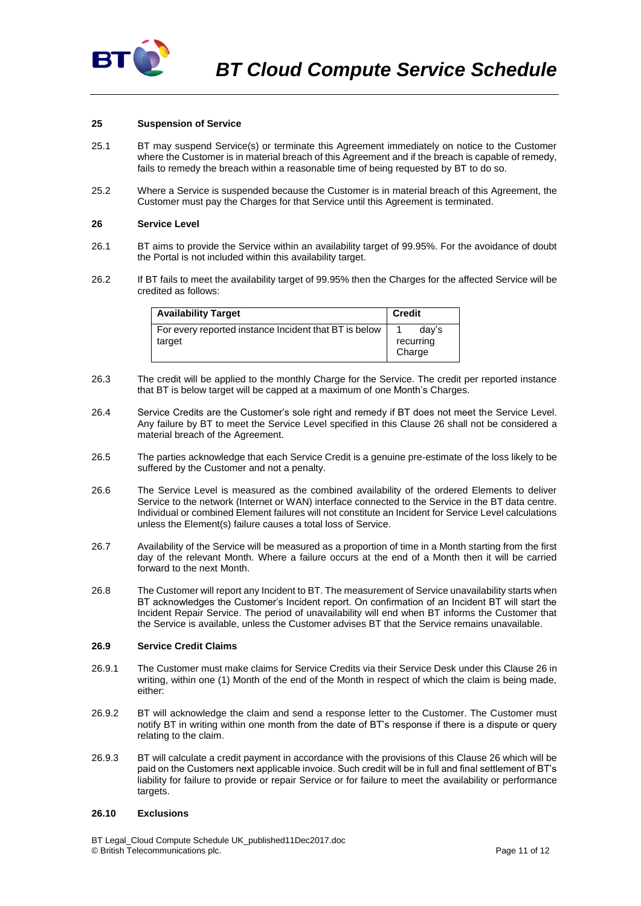

#### <span id="page-10-1"></span>**25 Suspension of Service**

- 25.1 BT may suspend Service(s) or terminate this Agreement immediately on notice to the Customer where the Customer is in material breach of this Agreement and if the breach is capable of remedy, fails to remedy the breach within a reasonable time of being requested by BT to do so.
- 25.2 Where a Service is suspended because the Customer is in material breach of this Agreement, the Customer must pay the Charges for that Service until this Agreement is terminated.

#### <span id="page-10-0"></span>**26 Service Level**

- 26.1 BT aims to provide the Service within an availability target of 99.95%. For the avoidance of doubt the Portal is not included within this availability target.
- 26.2 If BT fails to meet the availability target of 99.95% then the Charges for the affected Service will be credited as follows:

| <b>Availability Target</b>                                      | <b>Credit</b>      |
|-----------------------------------------------------------------|--------------------|
| For every reported instance Incident that BT is below<br>target | dav's<br>recurring |
|                                                                 | Charge             |

- 26.3 The credit will be applied to the monthly Charge for the Service. The credit per reported instance that BT is below target will be capped at a maximum of one Month's Charges.
- 26.4 Service Credits are the Customer's sole right and remedy if BT does not meet the Service Level. Any failure by BT to meet the Service Level specified in this Clause [26](#page-10-0) shall not be considered a material breach of the Agreement.
- 26.5 The parties acknowledge that each Service Credit is a genuine pre-estimate of the loss likely to be suffered by the Customer and not a penalty.
- 26.6 The Service Level is measured as the combined availability of the ordered Elements to deliver Service to the network (Internet or WAN) interface connected to the Service in the BT data centre. Individual or combined Element failures will not constitute an Incident for Service Level calculations unless the Element(s) failure causes a total loss of Service.
- 26.7 Availability of the Service will be measured as a proportion of time in a Month starting from the first day of the relevant Month. Where a failure occurs at the end of a Month then it will be carried forward to the next Month.
- 26.8 The Customer will report any Incident to BT. The measurement of Service unavailability starts when BT acknowledges the Customer's Incident report. On confirmation of an Incident BT will start the Incident Repair Service. The period of unavailability will end when BT informs the Customer that the Service is available, unless the Customer advises BT that the Service remains unavailable.

#### **26.9 Service Credit Claims**

- 26.9.1 The Customer must make claims for Service Credits via their Service Desk under this Clause [26](#page-10-0) in writing, within one (1) Month of the end of the Month in respect of which the claim is being made, either:
- 26.9.2 BT will acknowledge the claim and send a response letter to the Customer. The Customer must notify BT in writing within one month from the date of BT's response if there is a dispute or query relating to the claim.
- 26.9.3 BT will calculate a credit payment in accordance with the provisions of this Claus[e 26](#page-10-0) which will be paid on the Customers next applicable invoice. Such credit will be in full and final settlement of BT's liability for failure to provide or repair Service or for failure to meet the availability or performance targets.

#### **26.10 Exclusions**